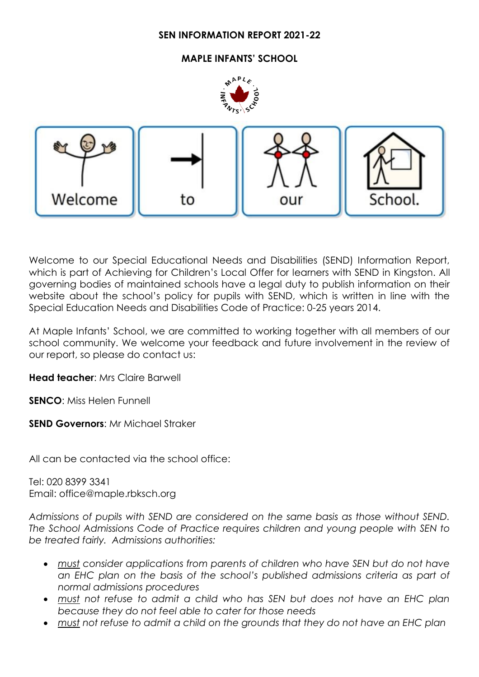#### **SEN INFORMATION REPORT 2021-22**

### **MAPLE INFANTS' SCHOOL**



Welcome to our Special Educational Needs and Disabilities (SEND) Information Report, which is part of Achieving for Children's Local Offer for learners with SEND in Kingston. All governing bodies of maintained schools have a legal duty to publish information on their website about the school's policy for pupils with SEND, which is written in line with the Special Education Needs and Disabilities Code of Practice: 0-25 years 2014.

At Maple Infants' School, we are committed to working together with all members of our school community. We welcome your feedback and future involvement in the review of our report, so please do contact us:

**Head teacher**: Mrs Claire Barwell

**SENCO**: Miss Helen Funnell

**SEND Governors**: Mr Michael Straker

All can be contacted via the school office:

Tel: 020 8399 3341 Email: office@maple.rbksch.org

*Admissions of pupils with SEND are considered on the same basis as those without SEND. The School Admissions Code of Practice requires children and young people with SEN to be treated fairly. Admissions authorities:* 

- *must consider applications from parents of children who have SEN but do not have an EHC plan on the basis of the school's published admissions criteria as part of normal admissions procedures*
- *must not refuse to admit a child who has SEN but does not have an EHC plan because they do not feel able to cater for those needs*
- *must not refuse to admit a child on the grounds that they do not have an EHC plan*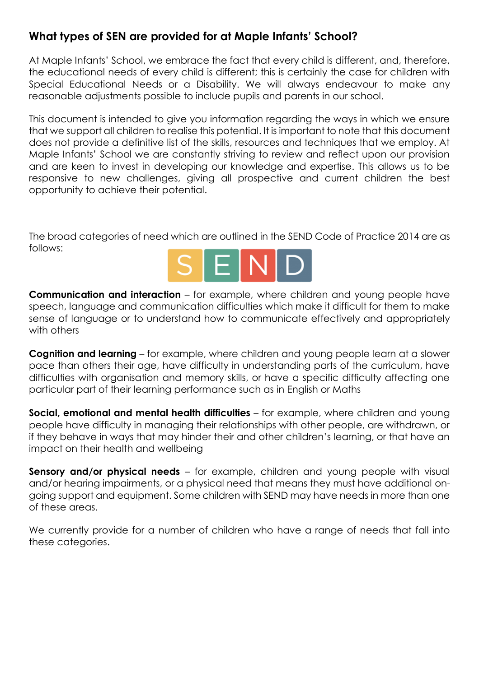## **What types of SEN are provided for at Maple Infants' School?**

At Maple Infants' School, we embrace the fact that every child is different, and, therefore, the educational needs of every child is different; this is certainly the case for children with Special Educational Needs or a Disability. We will always endeavour to make any reasonable adjustments possible to include pupils and parents in our school.

This document is intended to give you information regarding the ways in which we ensure that we support all children to realise this potential. It is important to note that this document does not provide a definitive list of the skills, resources and techniques that we employ. At Maple Infants' School we are constantly striving to review and reflect upon our provision and are keen to invest in developing our knowledge and expertise. This allows us to be responsive to new challenges, giving all prospective and current children the best opportunity to achieve their potential.

The broad categories of need which are outlined in the SEND Code of Practice 2014 are as follows:



**Communication and interaction** – for example, where children and young people have speech, language and communication difficulties which make it difficult for them to make sense of language or to understand how to communicate effectively and appropriately with others

**Cognition and learning** – for example, where children and young people learn at a slower pace than others their age, have difficulty in understanding parts of the curriculum, have difficulties with organisation and memory skills, or have a specific difficulty affecting one particular part of their learning performance such as in English or Maths

**Social, emotional and mental health difficulties** – for example, where children and young people have difficulty in managing their relationships with other people, are withdrawn, or if they behave in ways that may hinder their and other children's learning, or that have an impact on their health and wellbeing

**Sensory and/or physical needs** – for example, children and young people with visual and/or hearing impairments, or a physical need that means they must have additional ongoing support and equipment. Some children with SEND may have needs in more than one of these areas.

We currently provide for a number of children who have a range of needs that fall into these categories.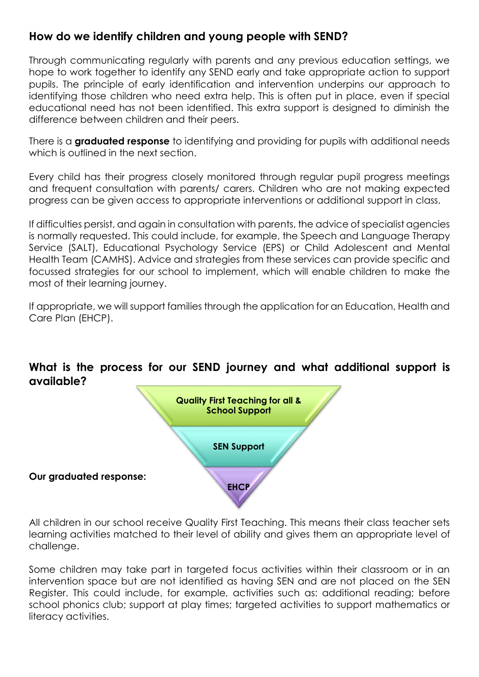## **How do we identify children and young people with SEND?**

Through communicating regularly with parents and any previous education settings, we hope to work together to identify any SEND early and take appropriate action to support pupils. The principle of early identification and intervention underpins our approach to identifying those children who need extra help. This is often put in place, even if special educational need has not been identified. This extra support is designed to diminish the difference between children and their peers.

There is a **graduated response** to identifying and providing for pupils with additional needs which is outlined in the next section.

Every child has their progress closely monitored through regular pupil progress meetings and frequent consultation with parents/ carers. Children who are not making expected progress can be given access to appropriate interventions or additional support in class.

If difficulties persist, and again in consultation with parents, the advice of specialist agencies is normally requested. This could include, for example, the Speech and Language Therapy Service (SALT), Educational Psychology Service (EPS) or Child Adolescent and Mental Health Team (CAMHS). Advice and strategies from these services can provide specific and focussed strategies for our school to implement, which will enable children to make the most of their learning journey.

If appropriate, we will support families through the application for an Education, Health and Care Plan (EHCP).



## **What is the process for our SEND journey and what additional support is available?**

All children in our school receive Quality First Teaching. This means their class teacher sets learning activities matched to their level of ability and gives them an appropriate level of challenge.

Some children may take part in targeted focus activities within their classroom or in an intervention space but are not identified as having SEN and are not placed on the SEN Register. This could include, for example, activities such as: additional reading; before school phonics club; support at play times; targeted activities to support mathematics or literacy activities.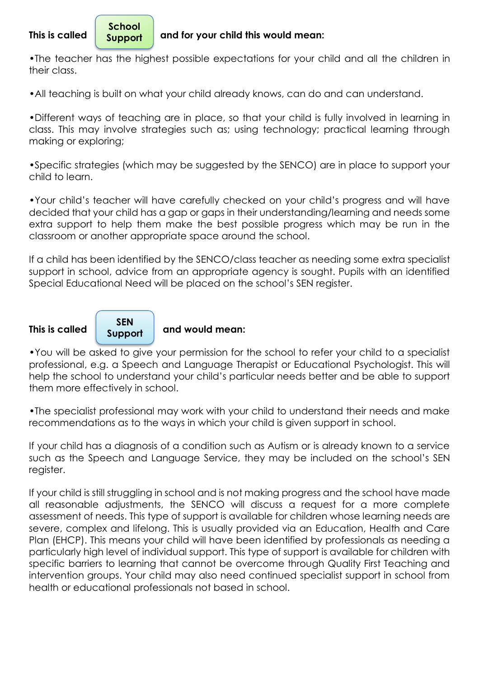#### **School Support**

•The teacher has the highest possible expectations for your child and all the children in their class.

•All teaching is built on what your child already knows, can do and can understand.

•Different ways of teaching are in place, so that your child is fully involved in learning in class. This may involve strategies such as; using technology; practical learning through making or exploring;

•Specific strategies (which may be suggested by the SENCO) are in place to support your child to learn.

•Your child's teacher will have carefully checked on your child's progress and will have decided that your child has a gap or gaps in their understanding/learning and needs some extra support to help them make the best possible progress which may be run in the classroom or another appropriate space around the school.

If a child has been identified by the SENCO/class teacher as needing some extra specialist support in school, advice from an appropriate agency is sought. Pupils with an identified Special Educational Need will be placed on the school's SEN register.

**SEN Support**

### **This is called connect called and would mean:**

•You will be asked to give your permission for the school to refer your child to a specialist professional, e.g. a Speech and Language Therapist or Educational Psychologist. This will help the school to understand your child's particular needs better and be able to support them more effectively in school.

•The specialist professional may work with your child to understand their needs and make recommendations as to the ways in which your child is given support in school.

If your child has a diagnosis of a condition such as Autism or is already known to a service such as the Speech and Language Service, they may be included on the school's SEN register.

If your child is still struggling in school and is not making progress and the school have made all reasonable adjustments, the SENCO will discuss a request for a more complete assessment of needs. This type of support is available for children whose learning needs are severe, complex and lifelong. This is usually provided via an Education, Health and Care Plan (EHCP). This means your child will have been identified by professionals as needing a particularly high level of individual support. This type of support is available for children with specific barriers to learning that cannot be overcome through Quality First Teaching and intervention groups. Your child may also need continued specialist support in school from health or educational professionals not based in school.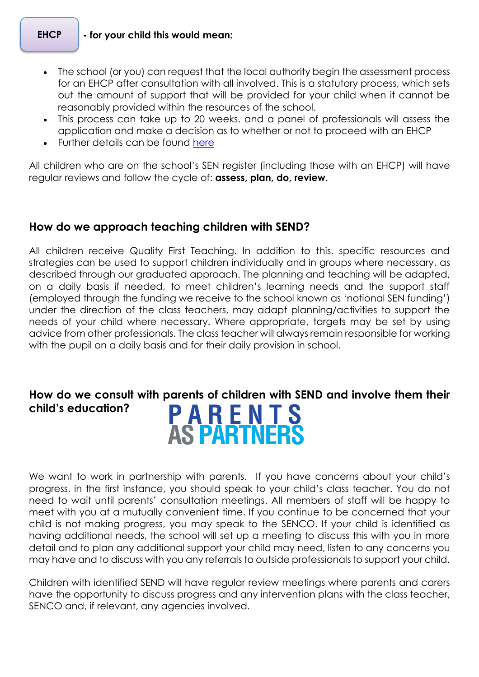#### **- for your child this would mean:**

- The school (or you) can request that the local authority begin the assessment process for an EHCP after consultation with all involved. This is a statutory process, which sets out the amount of support that will be provided for your child when it cannot be reasonably provided within the resources of the school.
- This process can take up to 20 weeks. and a panel of professionals will assess the application and make a decision as to whether or not to proceed with an EHCP
- Further details can be found [here](https://kr.afcinfo.org.uk/pages/local-offer/information-and-advice/assessment-and-education-health-and-care-planning)

All children who are on the school's SEN register (including those with an EHCP) will have regular reviews and follow the cycle of: **assess, plan, do, review**.

## **How do we approach teaching children with SEND?**

All children receive Quality First Teaching. In addition to this, specific resources and strategies can be used to support children individually and in groups where necessary, as described through our graduated approach. The planning and teaching will be adapted, on a daily basis if needed, to meet children's learning needs and the support staff (employed through the funding we receive to the school known as 'notional SEN funding') under the direction of the class teachers, may adapt planning/activities to support the needs of your child where necessary. Where appropriate, targets may be set by using advice from other professionals. The class teacher will always remain responsible for working with the pupil on a daily basis and for their daily provision in school.

# **How do we consult with parents of children with SEND and involve them their PARENTS**<br>AS PARTNERS **child's education?**

We want to work in partnership with parents. If you have concerns about your child's progress, in the first instance, you should speak to your child's class teacher. You do not need to wait until parents' consultation meetings. All members of staff will be happy to meet with you at a mutually convenient time. If you continue to be concerned that your child is not making progress, you may speak to the SENCO. If your child is identified as having additional needs, the school will set up a meeting to discuss this with you in more detail and to plan any additional support your child may need, listen to any concerns you may have and to discuss with you any referrals to outside professionals to support your child.

Children with identified SEND will have regular review meetings where parents and carers have the opportunity to discuss progress and any intervention plans with the class teacher, SENCO and, if relevant, any agencies involved.

**EHCP**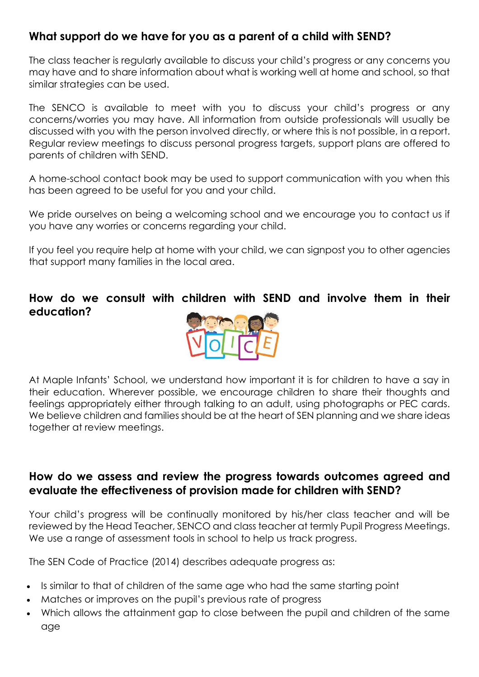## **What support do we have for you as a parent of a child with SEND?**

The class teacher is regularly available to discuss your child's progress or any concerns you may have and to share information about what is working well at home and school, so that similar strategies can be used.

The SENCO is available to meet with you to discuss your child's progress or any concerns/worries you may have. All information from outside professionals will usually be discussed with you with the person involved directly, or where this is not possible, in a report. Regular review meetings to discuss personal progress targets, support plans are offered to parents of children with SEND.

A home-school contact book may be used to support communication with you when this has been agreed to be useful for you and your child.

We pride ourselves on being a welcoming school and we encourage you to contact us if you have any worries or concerns regarding your child.

If you feel you require help at home with your child, we can signpost you to other agencies that support many families in the local area.

## **How do we consult with children with SEND and involve them in their education?**



At Maple Infants' School, we understand how important it is for children to have a say in their education. Wherever possible, we encourage children to share their thoughts and feelings appropriately either through talking to an adult, using photographs or PEC cards. We believe children and families should be at the heart of SEN planning and we share ideas together at review meetings.

## **How do we assess and review the progress towards outcomes agreed and evaluate the effectiveness of provision made for children with SEND?**

Your child's progress will be continually monitored by his/her class teacher and will be reviewed by the Head Teacher, SENCO and class teacher at termly Pupil Progress Meetings. We use a range of assessment tools in school to help us track progress.

The SEN Code of Practice (2014) describes adequate progress as:

- If is similar to that of children of the same age who had the same starting point
- Matches or improves on the pupil's previous rate of progress
- Which allows the attainment gap to close between the pupil and children of the same age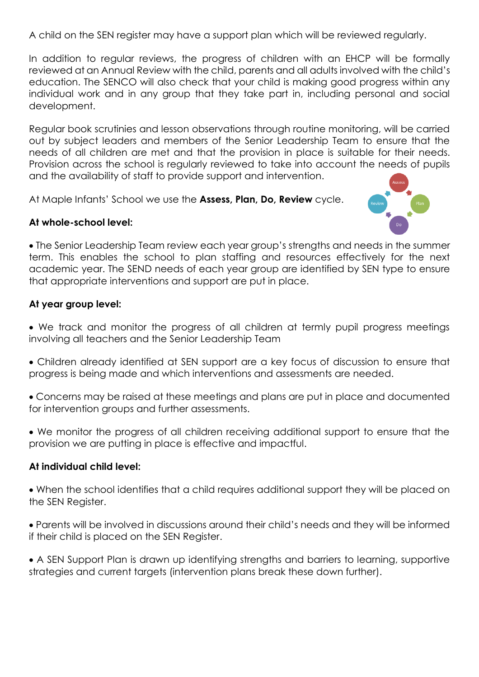A child on the SEN register may have a support plan which will be reviewed regularly.

In addition to regular reviews, the progress of children with an EHCP will be formally reviewed at an Annual Review with the child, parents and all adults involved with the child's education. The SENCO will also check that your child is making good progress within any individual work and in any group that they take part in, including personal and social development.

Regular book scrutinies and lesson observations through routine monitoring, will be carried out by subject leaders and members of the Senior Leadership Team to ensure that the needs of all children are met and that the provision in place is suitable for their needs. Provision across the school is regularly reviewed to take into account the needs of pupils and the availability of staff to provide support and intervention.

At Maple Infants' School we use the **Assess, Plan, Do, Review** cycle.



### **At whole-school level:**

 The Senior Leadership Team review each year group's strengths and needs in the summer term. This enables the school to plan staffing and resources effectively for the next academic year. The SEND needs of each year group are identified by SEN type to ensure that appropriate interventions and support are put in place.

### **At year group level:**

- We track and monitor the progress of all children at termly pupil progress meetings involving all teachers and the Senior Leadership Team
- Children already identified at SEN support are a key focus of discussion to ensure that progress is being made and which interventions and assessments are needed.
- Concerns may be raised at these meetings and plans are put in place and documented for intervention groups and further assessments.
- We monitor the progress of all children receiving additional support to ensure that the provision we are putting in place is effective and impactful.

### **At individual child level:**

 When the school identifies that a child requires additional support they will be placed on the SEN Register.

 Parents will be involved in discussions around their child's needs and they will be informed if their child is placed on the SEN Register.

 A SEN Support Plan is drawn up identifying strengths and barriers to learning, supportive strategies and current targets (intervention plans break these down further).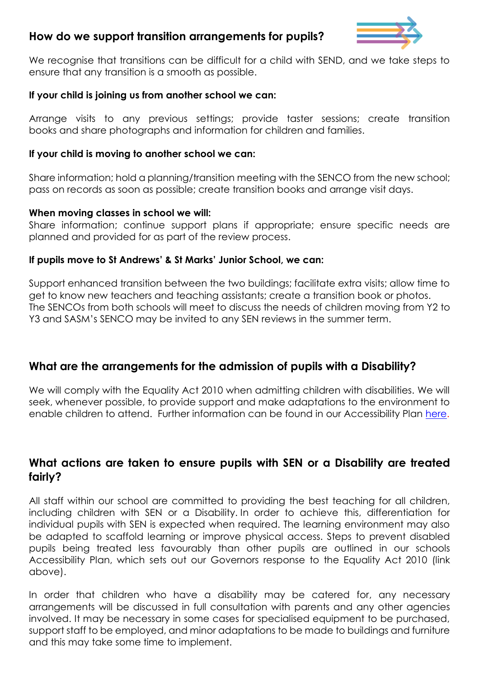## **How do we support transition arrangements for pupils?**



We recognise that transitions can be difficult for a child with SEND, and we take steps to ensure that any transition is a smooth as possible.

### **If your child is joining us from another school we can:**

Arrange visits to any previous settings; provide taster sessions; create transition books and share photographs and information for children and families.

### **If your child is moving to another school we can:**

Share information; hold a planning/transition meeting with the SENCO from the new school; pass on records as soon as possible; create transition books and arrange visit days.

### **When moving classes in school we will:**

Share information; continue support plans if appropriate; ensure specific needs are planned and provided for as part of the review process.

### **If pupils move to St Andrews' & St Marks' Junior School, we can:**

Support enhanced transition between the two buildings; facilitate extra visits; allow time to get to know new teachers and teaching assistants; create a transition book or photos. The SENCOs from both schools will meet to discuss the needs of children moving from Y2 to Y3 and SASM's SENCO may be invited to any SEN reviews in the summer term.

## **What are the arrangements for the admission of pupils with a Disability?**

We will comply with the Equality Act 2010 when admitting children with disabilities. We will seek, whenever possible, to provide support and make adaptations to the environment to enable children to attend. Further information can be found in our Accessibility Plan [here.](http://www.mapleinfants.co.uk/special-educational-needs--disability.html)

## **What actions are taken to ensure pupils with SEN or a Disability are treated fairly?**

All staff within our school are committed to providing the best teaching for all children, including children with SEN or a Disability. In order to achieve this, differentiation for individual pupils with SEN is expected when required. The learning environment may also be adapted to scaffold learning or improve physical access. Steps to prevent disabled pupils being treated less favourably than other pupils are outlined in our schools Accessibility Plan, which sets out our Governors response to the Equality Act 2010 (link above).

In order that children who have a disability may be catered for, any necessary arrangements will be discussed in full consultation with parents and any other agencies involved. It may be necessary in some cases for specialised equipment to be purchased, support staff to be employed, and minor adaptations to be made to buildings and furniture and this may take some time to implement.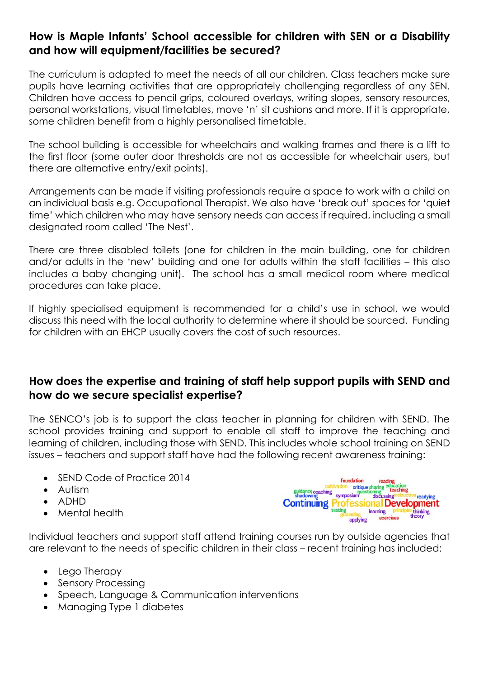## **How is Maple Infants' School accessible for children with SEN or a Disability and how will equipment/facilities be secured?**

The curriculum is adapted to meet the needs of all our children. Class teachers make sure pupils have learning activities that are appropriately challenging regardless of any SEN. Children have access to pencil grips, coloured overlays, writing slopes, sensory resources, personal workstations, visual timetables, move 'n' sit cushions and more. If it is appropriate, some children benefit from a highly personalised timetable.

The school building is accessible for wheelchairs and walking frames and there is a lift to the first floor (some outer door thresholds are not as accessible for wheelchair users, but there are alternative entry/exit points).

Arrangements can be made if visiting professionals require a space to work with a child on an individual basis e.g. Occupational Therapist. We also have 'break out' spaces for 'quiet time' which children who may have sensory needs can access if required, including a small designated room called 'The Nest'.

There are three disabled toilets (one for children in the main building, one for children and/or adults in the 'new' building and one for adults within the staff facilities – this also includes a baby changing unit). The school has a small medical room where medical procedures can take place.

If highly specialised equipment is recommended for a child's use in school, we would discuss this need with the local authority to determine where it should be sourced. Funding for children with an EHCP usually covers the cost of such resources.

## **How does the expertise and training of staff help support pupils with SEND and how do we secure specialist expertise?**

The SENCO's job is to support the class teacher in planning for children with SEND. The school provides training and support to enable all staff to improve the teaching and learning of children, including those with SEND. This includes whole school training on SEND issues – teachers and support staff have had the following recent awareness training:

- SEND Code of Practice 2014
- **•** Autism
- ADHD
- Mental health



Individual teachers and support staff attend training courses run by outside agencies that are relevant to the needs of specific children in their class – recent training has included:

- Lego Therapy
- Sensory Processing
- Speech, Language & Communication interventions
- Managing Type 1 diabetes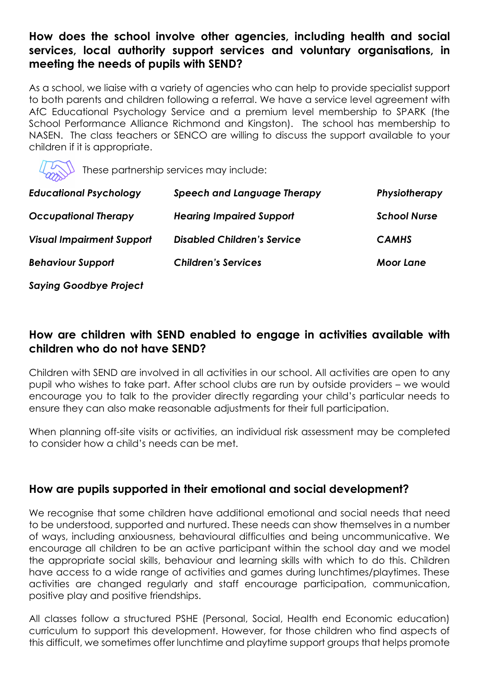## **How does the school involve other agencies, including health and social services, local authority support services and voluntary organisations, in meeting the needs of pupils with SEND?**

As a school, we liaise with a variety of agencies who can help to provide specialist support to both parents and children following a referral. We have a service level agreement with AfC Educational Psychology Service and a premium level membership to SPARK (the School Performance Alliance Richmond and Kingston). The school has membership to NASEN. The class teachers or SENCO are willing to discuss the support available to your children if it is appropriate.

These partnership services may include:

| <b>Educational Psychology</b>    | <b>Speech and Language Therapy</b> | Physiotherapy       |
|----------------------------------|------------------------------------|---------------------|
| <b>Occupational Therapy</b>      | <b>Hearing Impaired Support</b>    | <b>School Nurse</b> |
| <b>Visual Impairment Support</b> | <b>Disabled Children's Service</b> | <b>CAMHS</b>        |
| <b>Behaviour Support</b>         | <b>Children's Services</b>         | <b>Moor Lane</b>    |
| <b>Saying Goodbye Project</b>    |                                    |                     |

## **How are children with SEND enabled to engage in activities available with children who do not have SEND?**

Children with SEND are involved in all activities in our school. All activities are open to any pupil who wishes to take part. After school clubs are run by outside providers – we would encourage you to talk to the provider directly regarding your child's particular needs to ensure they can also make reasonable adjustments for their full participation.

When planning off-site visits or activities, an individual risk assessment may be completed to consider how a child's needs can be met.

## **How are pupils supported in their emotional and social development?**

We recognise that some children have additional emotional and social needs that need to be understood, supported and nurtured. These needs can show themselves in a number of ways, including anxiousness, behavioural difficulties and being uncommunicative. We encourage all children to be an active participant within the school day and we model the appropriate social skills, behaviour and learning skills with which to do this. Children have access to a wide range of activities and games during lunchtimes/playtimes. These activities are changed regularly and staff encourage participation, communication, positive play and positive friendships.

All classes follow a structured PSHE (Personal, Social, Health end Economic education) curriculum to support this development. However, for those children who find aspects of this difficult, we sometimes offer lunchtime and playtime support groups that helps promote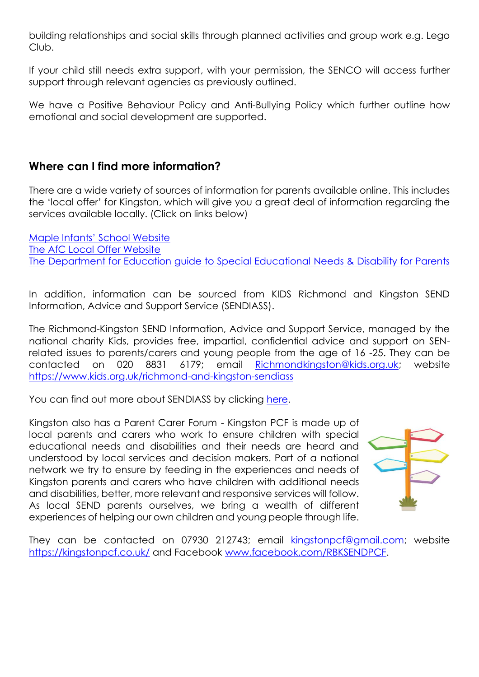building relationships and social skills through planned activities and group work e.g. Lego Club.

If your child still needs extra support, with your permission, the SENCO will access further support through relevant agencies as previously outlined.

We have a Positive Behaviour Policy and Anti-Bullying Policy which further outline how emotional and social development are supported.

## **Where can I find more information?**

There are a wide variety of sources of information for parents available online. This includes the 'local offer' for Kingston, which will give you a great deal of information regarding the services available locally. (Click on links below)

[Maple Infants' School Website](http://www.mapleinfants.co.uk/) [The AfC Local Offer Website](https://kr.afcinfo.org.uk/local_offer) [The Department for Education guide to Special Educational Needs & Disability for Parents](https://www.gov.uk/government/publications/send-guide-for-parents-and-carers)

In addition, information can be sourced from KIDS Richmond and Kingston SEND Information, Advice and Support Service (SENDIASS).

The Richmond-Kingston SEND Information, Advice and Support Service, managed by the national charity Kids, provides free, impartial, confidential advice and support on SENrelated issues to parents/carers and young people from the age of 16 -25. They can be contacted on 020 8831 6179; email [Richmondkingston@kids.org.uk;](mailto:Richmondkingston@kids.org.uk) website <https://www.kids.org.uk/richmond-and-kingston-sendiass>

You can find out more about SENDIASS by clicking [here.](https://kr.afcinfo.org.uk/pages/local-offer/information-and-advice/information-advice-and-support-ias)

Kingston also has a Parent Carer Forum - Kingston PCF is made up of local parents and carers who work to ensure children with special educational needs and disabilities and their needs are heard and understood by local services and decision makers. Part of a national network we try to ensure by feeding in the experiences and needs of Kingston parents and carers who have children with additional needs and disabilities, better, more relevant and responsive services will follow. As local SEND parents ourselves, we bring a wealth of different experiences of helping our own children and young people through life.



They can be contacted on 07930 212743; email [kingstonpcf@gmail.com;](mailto:kingstonpcf@gmail.com) website <https://kingstonpcf.co.uk/> and Facebook [www.facebook.com/RBKSENDPCF.](http://www.facebook.com/RBKSENDPCF)